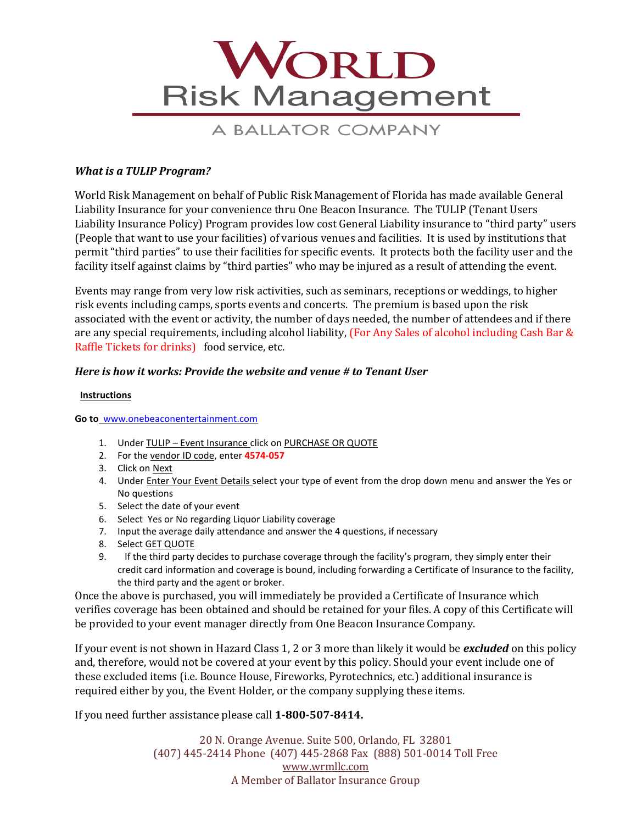

# A BALLATOR COMPANY

## *What is a TULIP Program?*

World Risk Management on behalf of Public Risk Management of Florida has made available General Liability Insurance for your convenience thru One Beacon Insurance. The TULIP (Tenant Users Liability Insurance Policy) Program provides low cost General Liability insurance to "third party" users (People that want to use your facilities) of various venues and facilities. It is used by institutions that permit "third parties" to use their facilities for specific events. It protects both the facility user and the facility itself against claims by "third parties" who may be injured as a result of attending the event.

 Raffle Tickets for drinks) food service, etc. Events may range from very low risk activities, such as seminars, receptions or weddings, to higher risk events including camps, sports events and concerts. The premium is based upon the risk associated with the event or activity, the number of days needed, the number of attendees and if there are any special requirements, including alcohol liability, (For Any Sales of alcohol including Cash Bar &

## *Here is how it works: Provide the website and venue # to Tenant User*

#### **Instructions**

 **Go to** [www.onebeaconentertainment.com](http://www.onebeaconentertainment.com/) 

- 1. Under TULIP Event Insurance click on PURCHASE OR QUOTE
- 2. For the vendor ID code, enter **4574-057**
- 3. Click on Next
- 4. Under Enter Your Event Details select your type of event from the drop down menu and answer the Yes or No questions
- 5. Select the date of your event
- 6. Select Yes or No regarding Liquor Liability coverage
- 7. Input the average daily attendance and answer the 4 questions, if necessary
- 8. Select GET QUOTE
- 9. If the third party decides to purchase coverage through the facility's program, they simply enter their credit card information and coverage is bound, including forwarding a Certificate of Insurance to the facility, the third party and the agent or broker.

Once the above is purchased, you will immediately be provided a Certificate of Insurance which verifies coverage has been obtained and should be retained for your files. A copy of this Certificate will be provided to your event manager directly from One Beacon Insurance Company.

If your event is not shown in Hazard Class 1, 2 or 3 more than likely it would be *excluded* on this policy and, therefore, would not be covered at your event by this policy. Should your event include one of these excluded items (i.e. Bounce House, Fireworks, Pyrotechnics, etc.) additional insurance is required either by you, the Event Holder, or the company supplying these items.

If you need further assistance please call **1-800-507-8414.** 

 20 N. Orange Avenue. Suite 500, Orlando, FL 32801 (407) 445-2414 Phone (407) 445-2868 Fax (888) 501-0014 Toll Free [www.wrmllc.com](http://www.wrmllc.com/) A Member of Ballator Insurance Group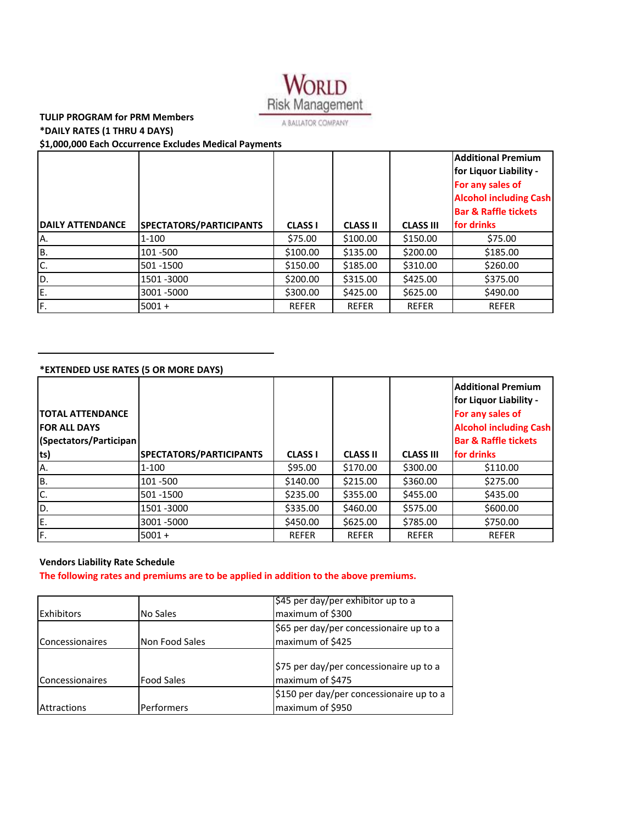

## **TULIP PROGRAM for PRM Members \*DAILY RATES (1 THRU 4 DAYS)**

 **\$1,000,000 Each Occurrence Excludes Medical Payments**

|                         |                         |                |                 |                  | <b>Additional Premium</b><br><b>for Liquor Liability -</b><br>For any sales of<br><b>Alcohol including Cash</b> |
|-------------------------|-------------------------|----------------|-----------------|------------------|-----------------------------------------------------------------------------------------------------------------|
|                         |                         |                |                 |                  | <b>Bar &amp; Raffle tickets</b>                                                                                 |
| <b>DAILY ATTENDANCE</b> | SPECTATORS/PARTICIPANTS | <b>CLASS I</b> | <b>CLASS II</b> | <b>CLASS III</b> | for drinks                                                                                                      |
| A.                      | $1 - 100$               | \$75.00        | \$100.00        | \$150.00         | \$75.00                                                                                                         |
| B.                      | 101 - 500               | \$100.00       | \$135.00        | \$200.00         | \$185.00                                                                                                        |
| C.                      | 501 - 1500              | \$150.00       | \$185.00        | \$310.00         | \$260.00                                                                                                        |
| D.                      | 1501 - 3000             | \$200.00       | \$315.00        | \$425.00         | \$375.00                                                                                                        |
| E.                      | 3001 - 5000             | \$300.00       | \$425.00        | \$625.00         | \$490.00                                                                                                        |
| F.                      | $5001 +$                | <b>REFER</b>   | <b>REFER</b>    | <b>REFER</b>     | <b>REFER</b>                                                                                                    |

#### **\*EXTENDED USE RATES (5 OR MORE DAYS)**

| <b>ITOTAL ATTENDANCE</b><br><b>IFOR ALL DAYS</b><br>(Spectators/Participan) |                                |                |                 |                  | <b>Additional Premium</b><br><b>for Liquor Liability -</b><br>For any sales of<br><b>Alcohol including Cash</b><br><b>Bar &amp; Raffle tickets</b> |
|-----------------------------------------------------------------------------|--------------------------------|----------------|-----------------|------------------|----------------------------------------------------------------------------------------------------------------------------------------------------|
| ts)                                                                         | <b>SPECTATORS/PARTICIPANTS</b> | <b>CLASS I</b> | <b>CLASS II</b> | <b>CLASS III</b> | <b>for drinks</b>                                                                                                                                  |
| A.                                                                          | $1 - 100$                      | \$95.00        | \$170.00        | \$300.00         | \$110.00                                                                                                                                           |
| B.                                                                          | 101 - 500                      | \$140.00       | \$215.00        | \$360.00         | \$275.00                                                                                                                                           |
| IC.                                                                         | 501 - 1500                     | \$235.00       | \$355.00        | \$455.00         | \$435.00                                                                                                                                           |
| D.                                                                          | 1501 - 3000                    | \$335.00       | \$460.00        | \$575.00         | \$600.00                                                                                                                                           |
| E.                                                                          | 3001-5000                      | \$450.00       | \$625.00        | \$785.00         | \$750.00                                                                                                                                           |
| F.                                                                          | $5001 +$                       | <b>REFER</b>   | <b>REFER</b>    | <b>REFER</b>     | <b>REFER</b>                                                                                                                                       |

#### **Vendors Liability Rate Schedule**

The following rates and premiums are to be applied in addition to the above premiums.

|                        |                   | \$45 per day/per exhibitor up to a       |
|------------------------|-------------------|------------------------------------------|
| <b>Exhibitors</b>      | No Sales          | maximum of \$300                         |
|                        |                   | \$65 per day/per concessionaire up to a  |
| <b>Concessionaires</b> | Non Food Sales    | maximum of \$425                         |
|                        |                   |                                          |
|                        |                   | \$75 per day/per concessionaire up to a  |
| <b>Concessionaires</b> | <b>Food Sales</b> | maximum of \$475                         |
|                        |                   | \$150 per day/per concessionaire up to a |
| <b>Attractions</b>     | Performers        | maximum of \$950                         |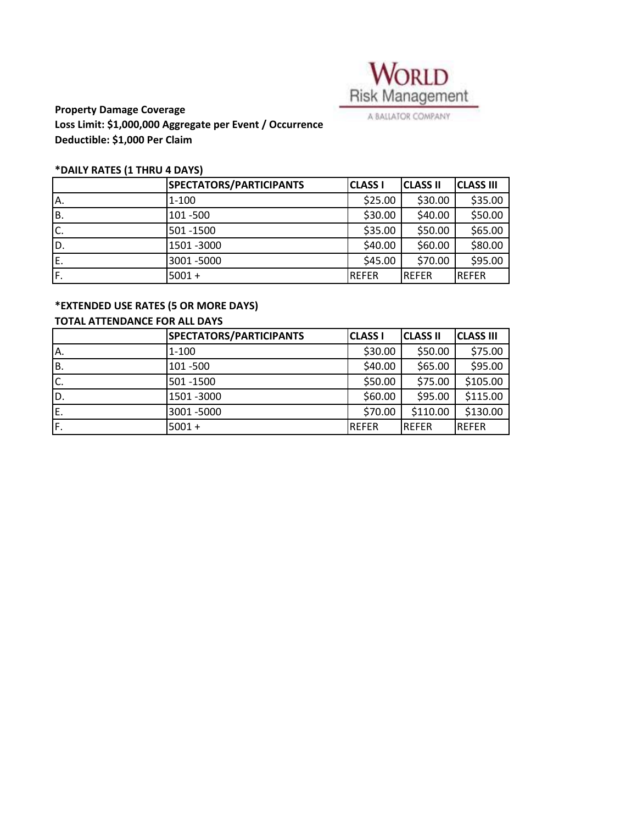

 **Property Damage Coverage Deductible: \$1,000 Per Claim Loss Limit: \$1,000,000 Aggregate per Event / Occurrence**

#### **\*DAILY RATES (1 THRU 4 DAYS)**

|     | SPECTATORS/PARTICIPANTS | <b>CLASS I</b> | <b>CLASS II</b> | <b>CLASS III</b> |
|-----|-------------------------|----------------|-----------------|------------------|
| IA. | $1 - 100$               | \$25.00        | \$30.00         | \$35.00          |
| İΒ. | 101 - 500               | \$30.00        | \$40.00         | \$50.00          |
| Ic. | 501 - 1500              | \$35.00        | \$50.00         | \$65.00          |
| ID. | 1501 - 3000             | \$40.00        | \$60.00         | \$80.00          |
| E.  | 3001 - 5000             | \$45.00        | \$70.00         | \$95.00          |
| F.  | $5001 +$                | <b>REFER</b>   | <b>IREFER</b>   | <b>REFER</b>     |

## **\*EXTENDED USE RATES (5 OR MORE DAYS)**

## **TOTAL ATTENDANCE FOR ALL DAYS**

|     | SPECTATORS/PARTICIPANTS | <b>CLASS I</b> | <b>CLASS II</b> | <b>CLASS III</b> |
|-----|-------------------------|----------------|-----------------|------------------|
| IA. | $1 - 100$               | \$30.00        | \$50.00         | \$75.00          |
| IB. | 101 - 500               | \$40.00        | \$65.00         | \$95.00          |
| C.  | 501 - 1500              | \$50.00        | \$75.00         | \$105.00         |
| ID. | 1501 - 3000             | \$60.00        | \$95.00         | \$115.00         |
| E.  | 3001-5000               | \$70.00        | \$110.00        | \$130.00         |
| IF. | $5001 +$                | <b>REFER</b>   | <b>REFER</b>    | <b>IREFER</b>    |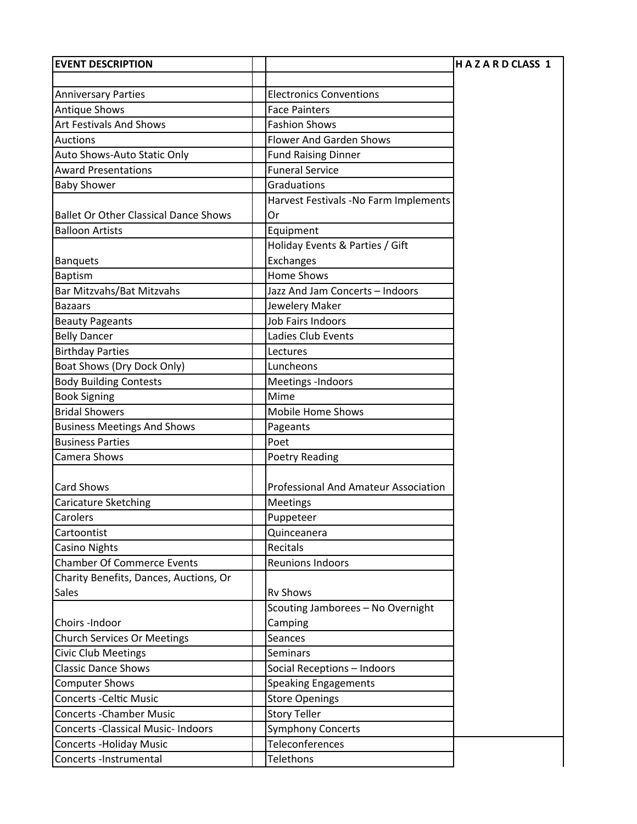| <b>EVENT DESCRIPTION</b>                     |                                       | <b>HAZARDCLASS 1</b> |
|----------------------------------------------|---------------------------------------|----------------------|
|                                              |                                       |                      |
| <b>Anniversary Parties</b>                   | <b>Electronics Conventions</b>        |                      |
| <b>Antique Shows</b>                         | <b>Face Painters</b>                  |                      |
| <b>Art Festivals And Shows</b>               | <b>Fashion Shows</b>                  |                      |
| <b>Auctions</b>                              | <b>Flower And Garden Shows</b>        |                      |
| Auto Shows-Auto Static Only                  | <b>Fund Raising Dinner</b>            |                      |
| <b>Award Presentations</b>                   | <b>Funeral Service</b>                |                      |
| <b>Baby Shower</b>                           | Graduations                           |                      |
|                                              | Harvest Festivals -No Farm Implements |                      |
| <b>Ballet Or Other Classical Dance Shows</b> | Or                                    |                      |
| <b>Balloon Artists</b>                       | Equipment                             |                      |
|                                              | Holiday Events & Parties / Gift       |                      |
| <b>Banquets</b>                              | Exchanges                             |                      |
| Baptism                                      | <b>Home Shows</b>                     |                      |
| Bar Mitzvahs/Bat Mitzvahs                    | Jazz And Jam Concerts - Indoors       |                      |
| <b>Bazaars</b>                               | Jewelery Maker                        |                      |
| <b>Beauty Pageants</b>                       | <b>Job Fairs Indoors</b>              |                      |
| <b>Belly Dancer</b>                          | Ladies Club Events                    |                      |
| <b>Birthday Parties</b>                      | Lectures                              |                      |
| Boat Shows (Dry Dock Only)                   | Luncheons                             |                      |
| <b>Body Building Contests</b>                | Meetings -Indoors                     |                      |
| <b>Book Signing</b>                          | Mime                                  |                      |
| <b>Bridal Showers</b>                        | <b>Mobile Home Shows</b>              |                      |
| <b>Business Meetings And Shows</b>           | Pageants                              |                      |
| <b>Business Parties</b>                      | Poet                                  |                      |
| Camera Shows                                 | <b>Poetry Reading</b>                 |                      |
|                                              |                                       |                      |
| <b>Card Shows</b>                            | Professional And Amateur Association  |                      |
| Caricature Sketching                         | Meetings                              |                      |
| Carolers                                     | Puppeteer                             |                      |
| Cartoontist                                  | Quinceanera                           |                      |
| <b>Casino Nights</b>                         | Recitals                              |                      |
| <b>Chamber Of Commerce Events</b>            | Reunions Indoors                      |                      |
| Charity Benefits, Dances, Auctions, Or       |                                       |                      |
| <b>Sales</b>                                 | <b>Rv Shows</b>                       |                      |
|                                              | Scouting Jamborees - No Overnight     |                      |
| Choirs -Indoor                               | Camping                               |                      |
| <b>Church Services Or Meetings</b>           | Seances                               |                      |
| <b>Civic Club Meetings</b>                   | <b>Seminars</b>                       |                      |
| <b>Classic Dance Shows</b>                   | Social Receptions - Indoors           |                      |
| <b>Computer Shows</b>                        | <b>Speaking Engagements</b>           |                      |
| <b>Concerts - Celtic Music</b>               | <b>Store Openings</b>                 |                      |
| <b>Concerts - Chamber Music</b>              | <b>Story Teller</b>                   |                      |
| <b>Concerts -Classical Music- Indoors</b>    | <b>Symphony Concerts</b>              |                      |
| <b>Concerts - Holiday Music</b>              | Teleconferences                       |                      |
| Concerts -Instrumental                       | Telethons                             |                      |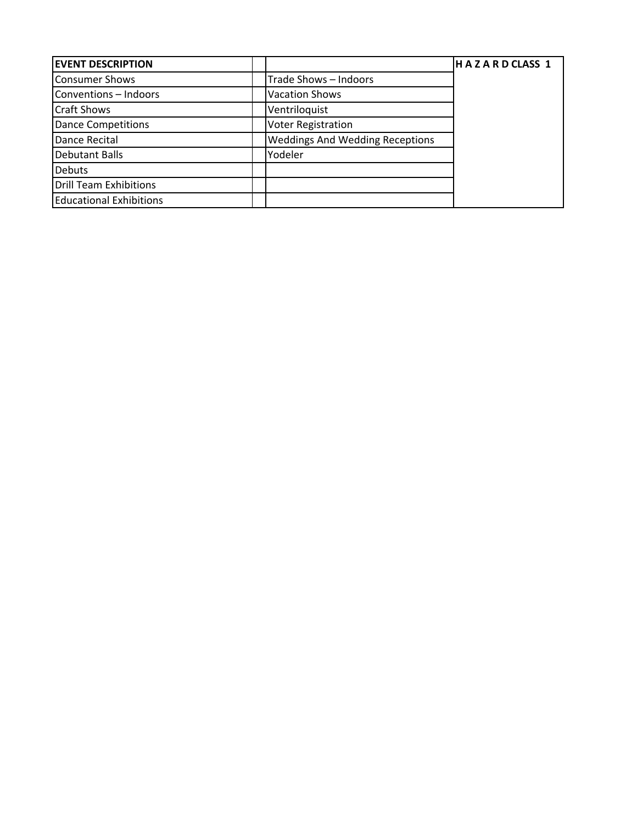| <b>EVENT DESCRIPTION</b>       |                                        | HAZARDCLASS 1 |
|--------------------------------|----------------------------------------|---------------|
| Consumer Shows                 | Trade Shows - Indoors                  |               |
| Conventions - Indoors          | <b>Vacation Shows</b>                  |               |
| <b>Craft Shows</b>             | Ventriloquist                          |               |
| <b>Dance Competitions</b>      | <b>Voter Registration</b>              |               |
| Dance Recital                  | <b>Weddings And Wedding Receptions</b> |               |
| <b>Debutant Balls</b>          | Yodeler                                |               |
| <b>Debuts</b>                  |                                        |               |
| Drill Team Exhibitions         |                                        |               |
| <b>Educational Exhibitions</b> |                                        |               |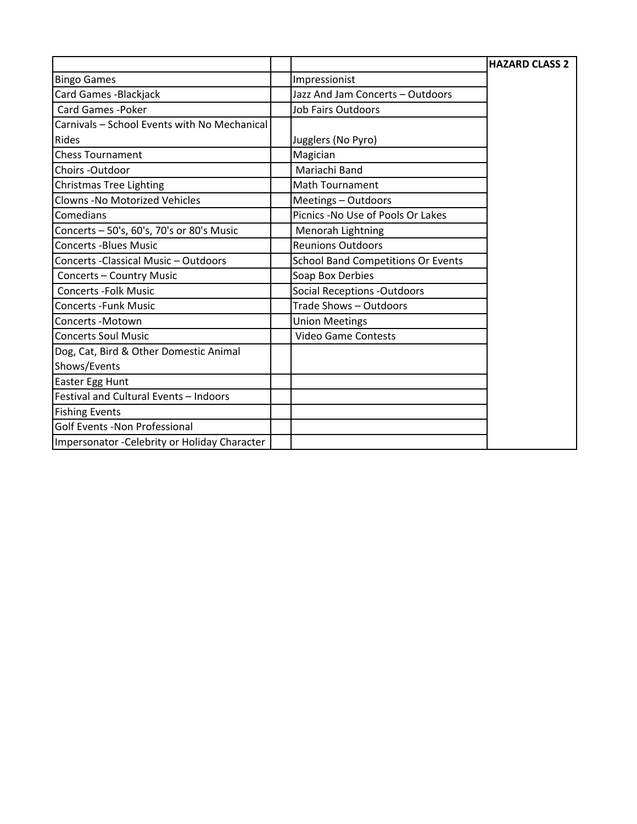|                                               |                                           | <b>HAZARD CLASS 2</b> |
|-----------------------------------------------|-------------------------------------------|-----------------------|
| <b>Bingo Games</b>                            | Impressionist                             |                       |
| Card Games - Blackjack                        | Jazz And Jam Concerts - Outdoors          |                       |
| <b>Card Games - Poker</b>                     | <b>Job Fairs Outdoors</b>                 |                       |
| Carnivals - School Events with No Mechanical  |                                           |                       |
| Rides                                         | Jugglers (No Pyro)                        |                       |
| <b>Chess Tournament</b>                       | Magician                                  |                       |
| Choirs - Outdoor                              | Mariachi Band                             |                       |
| <b>Christmas Tree Lighting</b>                | <b>Math Tournament</b>                    |                       |
| <b>Clowns -No Motorized Vehicles</b>          | Meetings - Outdoors                       |                       |
| Comedians                                     | Picnics -No Use of Pools Or Lakes         |                       |
| Concerts - 50's, 60's, 70's or 80's Music     | Menorah Lightning                         |                       |
| <b>Concerts -Blues Music</b>                  | <b>Reunions Outdoors</b>                  |                       |
| Concerts - Classical Music - Outdoors         | <b>School Band Competitions Or Events</b> |                       |
| <b>Concerts - Country Music</b>               | Soap Box Derbies                          |                       |
| <b>Concerts - Folk Music</b>                  | <b>Social Receptions -Outdoors</b>        |                       |
| <b>Concerts - Funk Music</b>                  | Trade Shows - Outdoors                    |                       |
| Concerts - Motown                             | <b>Union Meetings</b>                     |                       |
| <b>Concerts Soul Music</b>                    | <b>Video Game Contests</b>                |                       |
| Dog, Cat, Bird & Other Domestic Animal        |                                           |                       |
| Shows/Events                                  |                                           |                       |
| Easter Egg Hunt                               |                                           |                       |
| Festival and Cultural Events - Indoors        |                                           |                       |
| <b>Fishing Events</b>                         |                                           |                       |
| Golf Events -Non Professional                 |                                           |                       |
| Impersonator - Celebrity or Holiday Character |                                           |                       |